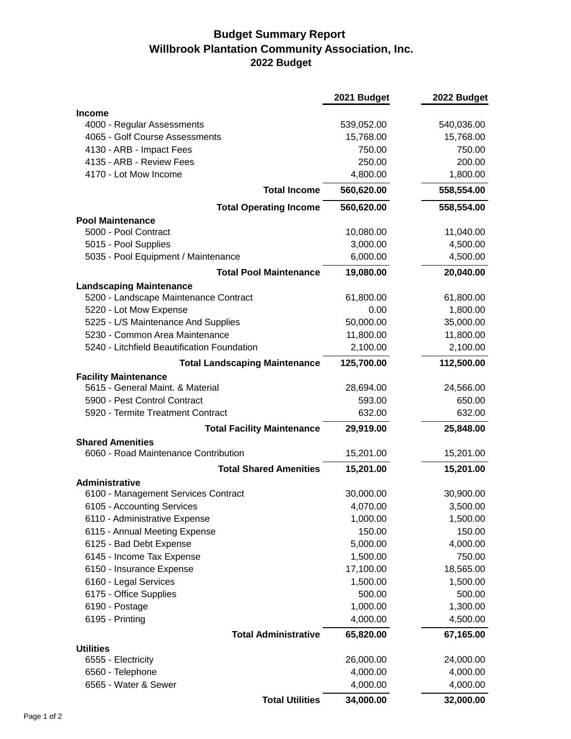## **Budget Summary Report Willbrook Plantation Community Association, Inc. 2022 Budget**

|                                                                 | 2021 Budget | 2022 Budget |
|-----------------------------------------------------------------|-------------|-------------|
| <b>Income</b>                                                   |             |             |
| 4000 - Regular Assessments                                      | 539,052.00  | 540,036.00  |
| 4065 - Golf Course Assessments                                  | 15,768.00   | 15,768.00   |
| 4130 - ARB - Impact Fees                                        | 750.00      | 750.00      |
| 4135 - ARB - Review Fees                                        | 250.00      | 200.00      |
| 4170 - Lot Mow Income                                           | 4,800.00    | 1,800.00    |
| <b>Total Income</b>                                             | 560,620.00  | 558,554.00  |
| <b>Total Operating Income</b>                                   | 560,620.00  | 558,554.00  |
| <b>Pool Maintenance</b>                                         |             |             |
| 5000 - Pool Contract                                            | 10,080.00   | 11,040.00   |
| 5015 - Pool Supplies                                            | 3,000.00    | 4,500.00    |
| 5035 - Pool Equipment / Maintenance                             | 6,000.00    | 4,500.00    |
| <b>Total Pool Maintenance</b>                                   | 19,080.00   | 20,040.00   |
| <b>Landscaping Maintenance</b>                                  |             |             |
| 5200 - Landscape Maintenance Contract                           | 61,800.00   | 61,800.00   |
| 5220 - Lot Mow Expense                                          | 0.00        | 1,800.00    |
| 5225 - L/S Maintenance And Supplies                             | 50,000.00   | 35,000.00   |
| 5230 - Common Area Maintenance                                  | 11,800.00   | 11,800.00   |
| 5240 - Litchfield Beautification Foundation                     | 2,100.00    | 2,100.00    |
| <b>Total Landscaping Maintenance</b>                            | 125,700.00  | 112,500.00  |
| <b>Facility Maintenance</b>                                     |             |             |
| 5615 - General Maint. & Material                                | 28,694.00   | 24,566.00   |
| 5900 - Pest Control Contract                                    | 593.00      | 650.00      |
| 5920 - Termite Treatment Contract                               | 632.00      | 632.00      |
| <b>Total Facility Maintenance</b>                               | 29,919.00   | 25,848.00   |
| <b>Shared Amenities</b><br>6060 - Road Maintenance Contribution | 15,201.00   | 15,201.00   |
| <b>Total Shared Amenities</b>                                   | 15,201.00   | 15,201.00   |
| <b>Administrative</b>                                           |             |             |
| 6100 - Management Services Contract                             | 30,000.00   | 30,900.00   |
| 6105 - Accounting Services                                      | 4,070.00    | 3,500.00    |
| 6110 - Administrative Expense                                   | 1,000.00    | 1,500.00    |
| 6115 - Annual Meeting Expense                                   | 150.00      | 150.00      |
| 6125 - Bad Debt Expense                                         | 5,000.00    | 4,000.00    |
| 6145 - Income Tax Expense                                       | 1,500.00    | 750.00      |
| 6150 - Insurance Expense                                        | 17,100.00   | 18,565.00   |
| 6160 - Legal Services                                           | 1,500.00    | 1,500.00    |
| 6175 - Office Supplies                                          | 500.00      | 500.00      |
| 6190 - Postage                                                  | 1,000.00    | 1,300.00    |
| 6195 - Printing                                                 | 4,000.00    | 4,500.00    |
| <b>Total Administrative</b>                                     | 65,820.00   | 67,165.00   |
| <b>Utilities</b>                                                |             |             |
| 6555 - Electricity                                              | 26,000.00   | 24,000.00   |
| 6560 - Telephone                                                | 4,000.00    | 4,000.00    |
| 6565 - Water & Sewer                                            | 4,000.00    | 4,000.00    |
| <b>Total Utilities</b>                                          | 34,000.00   | 32,000.00   |